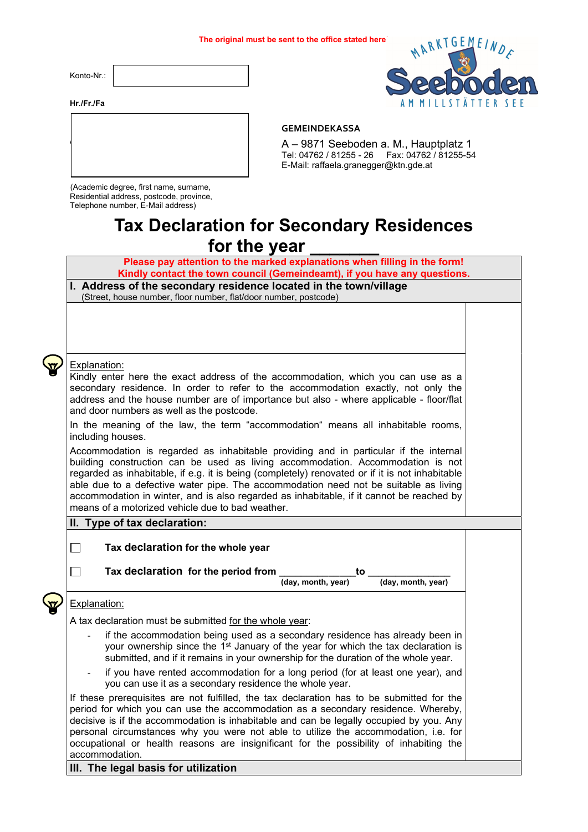Konto-Nr.:



#### Hr./Fr./Fa



### GEMEINDEKASSA

A – 9871 Seeboden a. M., Hauptplatz 1 Tel: 04762 / 81255 - 26 Fax: 04762 / 81255-54 E-Mail: raffaela.granegger@ktn.gde.at

(Academic degree, first name, surname, Residential address, postcode, province, Telephone number, E-Mail address)

# Tax Declaration for Secondary Residences for the year

Please pay attention to the marked explanations when filling in the form! Kindly contact the town council (Gemeindeamt), if you have any questions.

#### I. Address of the secondary residence located in the town/village (Street, house number, floor number, flat/door number, postcode)

Explanation:

Kindly enter here the exact address of the accommodation, which you can use as a secondary residence. In order to refer to the accommodation exactly, not only the address and the house number are of importance but also - where applicable - floor/flat and door numbers as well as the postcode.

In the meaning of the law, the term "accommodation" means all inhabitable rooms, including houses.

Accommodation is regarded as inhabitable providing and in particular if the internal building construction can be used as living accommodation. Accommodation is not regarded as inhabitable, if e.g. it is being (completely) renovated or if it is not inhabitable able due to a defective water pipe. The accommodation need not be suitable as living accommodation in winter, and is also regarded as inhabitable, if it cannot be reached by means of a motorized vehicle due to bad weather.

# II. Type of tax declaration:

Tax declaration for the whole year

 $\Box$  Tax declaration for the period from  $\frac{1}{(day. \text{ month. year})}$ 

(day, month, year)

# Explanation:

A tax declaration must be submitted for the whole year:

- if the accommodation being used as a secondary residence has already been in your ownership since the  $1<sup>st</sup>$  January of the year for which the tax declaration is submitted, and if it remains in your ownership for the duration of the whole year.
- if you have rented accommodation for a long period (for at least one year), and you can use it as a secondary residence the whole year.

If these prerequisites are not fulfilled, the tax declaration has to be submitted for the period for which you can use the accommodation as a secondary residence. Whereby, decisive is if the accommodation is inhabitable and can be legally occupied by you. Any personal circumstances why you were not able to utilize the accommodation, i.e. for occupational or health reasons are insignificant for the possibility of inhabiting the accommodation.

# III. The legal basis for utilization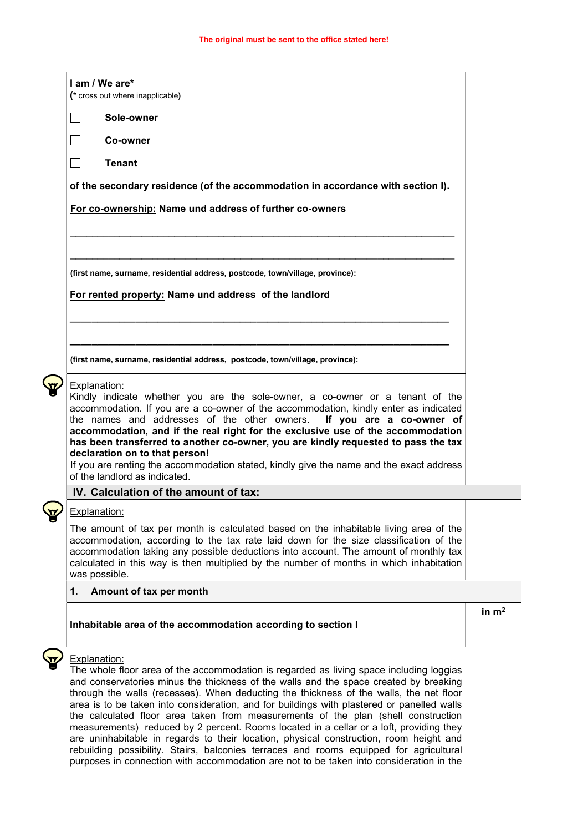| I am / We are*                                                                                                                                                                    |         |  |
|-----------------------------------------------------------------------------------------------------------------------------------------------------------------------------------|---------|--|
| (* cross out where inapplicable)                                                                                                                                                  |         |  |
| Sole-owner                                                                                                                                                                        |         |  |
| $\sim$<br>Co-owner                                                                                                                                                                |         |  |
| <b>Tenant</b><br>$\blacksquare$                                                                                                                                                   |         |  |
| of the secondary residence (of the accommodation in accordance with section I).                                                                                                   |         |  |
| For co-ownership: Name und address of further co-owners                                                                                                                           |         |  |
|                                                                                                                                                                                   |         |  |
|                                                                                                                                                                                   |         |  |
| (first name, surname, residential address, postcode, town/village, province):                                                                                                     |         |  |
| For rented property: Name und address of the landlord                                                                                                                             |         |  |
|                                                                                                                                                                                   |         |  |
|                                                                                                                                                                                   |         |  |
| (first name, surname, residential address, postcode, town/village, province):                                                                                                     |         |  |
| Explanation:                                                                                                                                                                      |         |  |
| Kindly indicate whether you are the sole-owner, a co-owner or a tenant of the<br>accommodation. If you are a co-owner of the accommodation, kindly enter as indicated             |         |  |
| the names and addresses of the other owners.<br>If you are a co-owner of                                                                                                          |         |  |
| accommodation, and if the real right for the exclusive use of the accommodation<br>has been transferred to another co-owner, you are kindly requested to pass the tax             |         |  |
| declaration on to that person!                                                                                                                                                    |         |  |
| If you are renting the accommodation stated, kindly give the name and the exact address<br>of the landlord as indicated.                                                          |         |  |
| IV. Calculation of the amount of tax:                                                                                                                                             |         |  |
| Explanation:                                                                                                                                                                      |         |  |
| The amount of tax per month is calculated based on the inhabitable living area of the                                                                                             |         |  |
| accommodation, according to the tax rate laid down for the size classification of the                                                                                             |         |  |
| accommodation taking any possible deductions into account. The amount of monthly tax                                                                                              |         |  |
| calculated in this way is then multiplied by the number of months in which inhabitation<br>was possible.                                                                          |         |  |
| Amount of tax per month<br>1.                                                                                                                                                     |         |  |
|                                                                                                                                                                                   | in $m2$ |  |
| Inhabitable area of the accommodation according to section I                                                                                                                      |         |  |
| Explanation:                                                                                                                                                                      |         |  |
| The whole floor area of the accommodation is regarded as living space including loggias                                                                                           |         |  |
| and conservatories minus the thickness of the walls and the space created by breaking<br>through the walls (recesses). When deducting the thickness of the walls, the net floor   |         |  |
| area is to be taken into consideration, and for buildings with plastered or panelled walls                                                                                        |         |  |
| the calculated floor area taken from measurements of the plan (shell construction                                                                                                 |         |  |
| measurements) reduced by 2 percent. Rooms located in a cellar or a loft, providing they<br>are uninhabitable in regards to their location, physical construction, room height and |         |  |
| rebuilding possibility. Stairs, balconies terraces and rooms equipped for agricultural                                                                                            |         |  |
| purposes in connection with accommodation are not to be taken into consideration in the                                                                                           |         |  |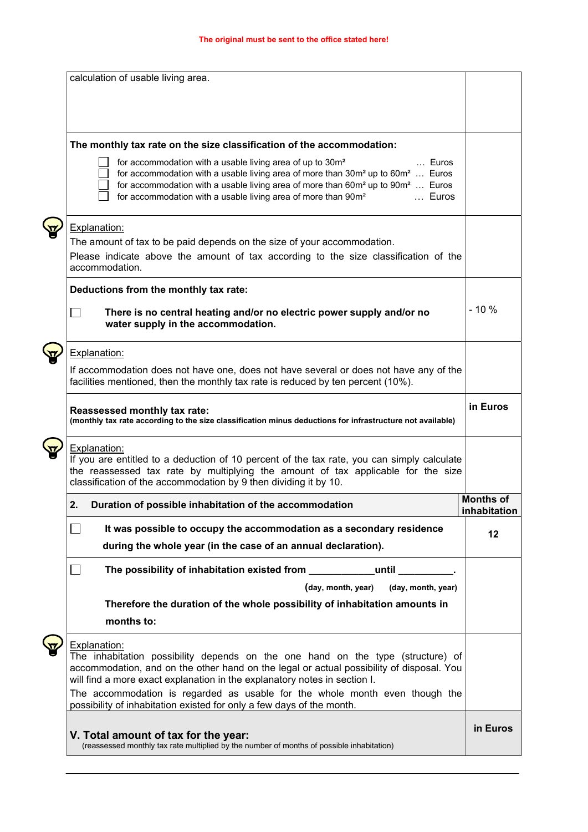| calculation of usable living area.                                                                                                                                                                                                                                                                                                                                     |                           |  |  |
|------------------------------------------------------------------------------------------------------------------------------------------------------------------------------------------------------------------------------------------------------------------------------------------------------------------------------------------------------------------------|---------------------------|--|--|
| The monthly tax rate on the size classification of the accommodation:                                                                                                                                                                                                                                                                                                  |                           |  |  |
| for accommodation with a usable living area of up to 30m <sup>2</sup><br>Euros<br>for accommodation with a usable living area of more than $30m^2$ up to $60m^2$ Euros<br>for accommodation with a usable living area of more than 60m <sup>2</sup> up to 90m <sup>2</sup> Euros<br>for accommodation with a usable living area of more than 90m <sup>2</sup><br>Euros |                           |  |  |
| <b>Explanation:</b><br>The amount of tax to be paid depends on the size of your accommodation.<br>Please indicate above the amount of tax according to the size classification of the<br>accommodation.                                                                                                                                                                |                           |  |  |
| Deductions from the monthly tax rate:                                                                                                                                                                                                                                                                                                                                  |                           |  |  |
| There is no central heating and/or no electric power supply and/or no<br>water supply in the accommodation.                                                                                                                                                                                                                                                            | $-10%$                    |  |  |
| Explanation:                                                                                                                                                                                                                                                                                                                                                           |                           |  |  |
| If accommodation does not have one, does not have several or does not have any of the<br>facilities mentioned, then the monthly tax rate is reduced by ten percent (10%).                                                                                                                                                                                              |                           |  |  |
| Reassessed monthly tax rate:<br>(monthly tax rate according to the size classification minus deductions for infrastructure not available)                                                                                                                                                                                                                              | in Euros                  |  |  |
| Explanation:<br>If you are entitled to a deduction of 10 percent of the tax rate, you can simply calculate<br>the reassessed tax rate by multiplying the amount of tax applicable for the size<br>classification of the accommodation by 9 then dividing it by 10.                                                                                                     |                           |  |  |
| 2.<br>Duration of possible inhabitation of the accommodation                                                                                                                                                                                                                                                                                                           | Months of<br>inhabitation |  |  |
| It was possible to occupy the accommodation as a secondary residence                                                                                                                                                                                                                                                                                                   | 12                        |  |  |
| during the whole year (in the case of an annual declaration).                                                                                                                                                                                                                                                                                                          |                           |  |  |
| The possibility of inhabitation existed from _______________until                                                                                                                                                                                                                                                                                                      |                           |  |  |
| (day, month, year)<br>(day, month, year)                                                                                                                                                                                                                                                                                                                               |                           |  |  |
| Therefore the duration of the whole possibility of inhabitation amounts in                                                                                                                                                                                                                                                                                             |                           |  |  |
| months to:                                                                                                                                                                                                                                                                                                                                                             |                           |  |  |
| <b>Explanation:</b><br>The inhabitation possibility depends on the one hand on the type (structure) of<br>accommodation, and on the other hand on the legal or actual possibility of disposal. You<br>will find a more exact explanation in the explanatory notes in section I.                                                                                        |                           |  |  |
| The accommodation is regarded as usable for the whole month even though the<br>possibility of inhabitation existed for only a few days of the month.                                                                                                                                                                                                                   |                           |  |  |
| V. Total amount of tax for the year:<br>(reassessed monthly tax rate multiplied by the number of months of possible inhabitation)                                                                                                                                                                                                                                      | in Euros                  |  |  |